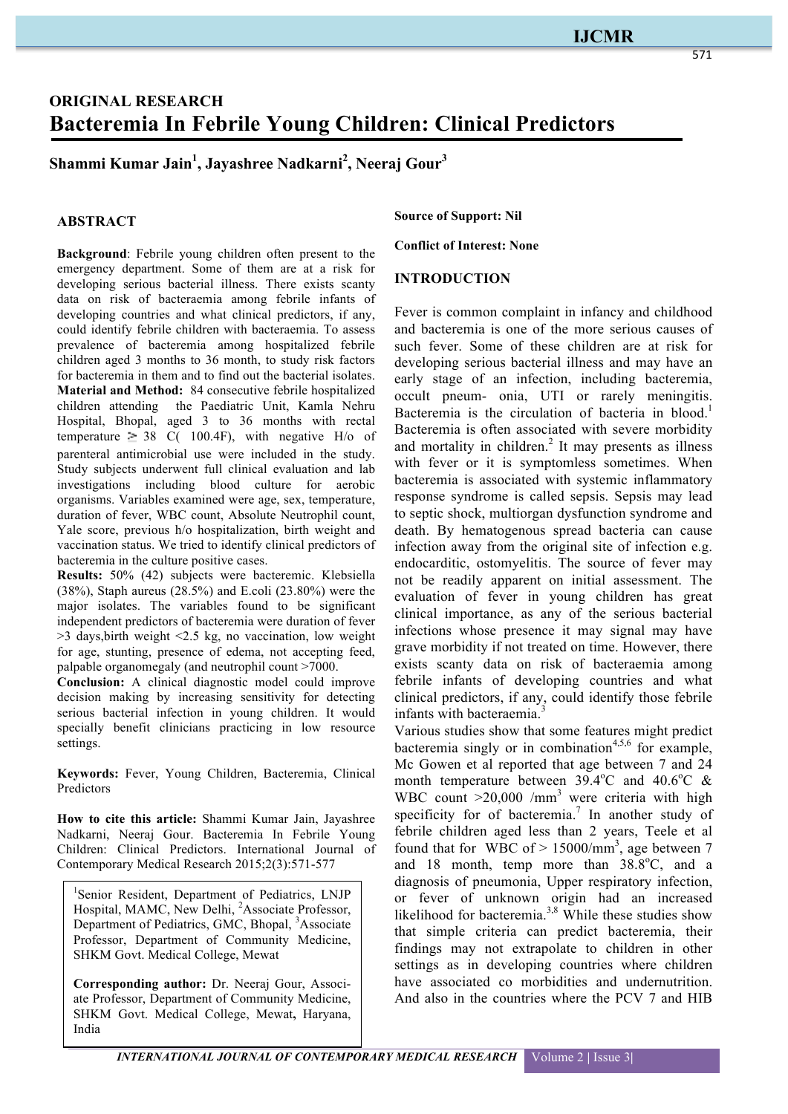# **ORIGINAL RESEARCH Bacteremia In Febrile Young Children: Clinical Predictors**

**Shammi Kumar Jain<sup>1</sup> , Jayashree Nadkarni2 , Neeraj Gour3**

## **ABSTRACT**

**Background**: Febrile young children often present to the emergency department. Some of them are at a risk for developing serious bacterial illness. There exists scanty data on risk of bacteraemia among febrile infants of developing countries and what clinical predictors, if any, could identify febrile children with bacteraemia. To assess prevalence of bacteremia among hospitalized febrile children aged 3 months to 36 month, to study risk factors for bacteremia in them and to find out the bacterial isolates. **Material and Method:** 84 consecutive febrile hospitalized children attending the Paediatric Unit, Kamla Nehru Hospital, Bhopal, aged 3 to 36 months with rectal temperature  $\geq 38$  C( 100.4F), with negative H/o of parenteral antimicrobial use were included in the study. Study subjects underwent full clinical evaluation and lab investigations including blood culture for aerobic organisms. Variables examined were age, sex, temperature, duration of fever, WBC count, Absolute Neutrophil count, Yale score, previous h/o hospitalization, birth weight and vaccination status. We tried to identify clinical predictors of bacteremia in the culture positive cases.

**Results:** 50% (42) subjects were bacteremic. Klebsiella (38%), Staph aureus (28.5%) and E.coli (23.80%) were the major isolates. The variables found to be significant independent predictors of bacteremia were duration of fever >3 days,birth weight <2.5 kg, no vaccination, low weight for age, stunting, presence of edema, not accepting feed, palpable organomegaly (and neutrophil count >7000.

**Conclusion:** A clinical diagnostic model could improve decision making by increasing sensitivity for detecting serious bacterial infection in young children. It would specially benefit clinicians practicing in low resource settings.

**Keywords:** Fever, Young Children, Bacteremia, Clinical **Predictors** 

**How to cite this article:** Shammi Kumar Jain, Jayashree Nadkarni, Neeraj Gour. Bacteremia In Febrile Young Children: Clinical Predictors. International Journal of Contemporary Medical Research 2015;2(3):571-577

<sup>1</sup>Senior Resident, Department of Pediatrics, LNJP Hospital, MAMC, New Delhi, <sup>2</sup>Associate Professor, Department of Pediatrics, GMC, Bhopal, <sup>3</sup>Associate Professor, Department of Community Medicine, SHKM Govt. Medical College, Mewat

**Corresponding author:** Dr. Neeraj Gour, Associate Professor, Department of Community Medicine, SHKM Govt. Medical College, Mewat**,** Haryana, India

**Source of Support: Nil**

**Conflict of Interest: None**

## **INTRODUCTION**

Fever is common complaint in infancy and childhood and bacteremia is one of the more serious causes of such fever. Some of these children are at risk for developing serious bacterial illness and may have an early stage of an infection, including bacteremia, occult pneum- onia, UTI or rarely meningitis. Bacteremia is the circulation of bacteria in blood.<sup>1</sup> Bacteremia is often associated with severe morbidity and mortality in children. <sup>2</sup> It may presents as illness with fever or it is symptomless sometimes. When bacteremia is associated with systemic inflammatory response syndrome is called sepsis. Sepsis may lead to septic shock, multiorgan dysfunction syndrome and death. By hematogenous spread bacteria can cause infection away from the original site of infection e.g. endocarditic, ostomyelitis. The source of fever may not be readily apparent on initial assessment. The evaluation of fever in young children has great clinical importance, as any of the serious bacterial infections whose presence it may signal may have grave morbidity if not treated on time. However, there exists scanty data on risk of bacteraemia among febrile infants of developing countries and what clinical predictors, if any, could identify those febrile infants with bacteraemia.<sup>3</sup>

Various studies show that some features might predict bacteremia singly or in combination<sup> $4,5,6$ </sup> for example, Mc Gowen et al reported that age between 7 and 24 month temperature between  $39.4^{\circ}$ C and  $40.6^{\circ}$ C & WBC count  $>20,000$  /mm<sup>3</sup> were criteria with high specificity for of bacteremia.<sup>7</sup> In another study of febrile children aged less than 2 years, Teele et al found that for WBC of  $> 15000/\text{mm}^3$ , age between 7 and 18 month, temp more than  $38.8^{\circ}$ C, and a diagnosis of pneumonia, Upper respiratory infection, or fever of unknown origin had an increased likelihood for bacteremia. $3,8$  While these studies show that simple criteria can predict bacteremia, their findings may not extrapolate to children in other settings as in developing countries where children have associated co morbidities and undernutrition. And also in the countries where the PCV 7 and HIB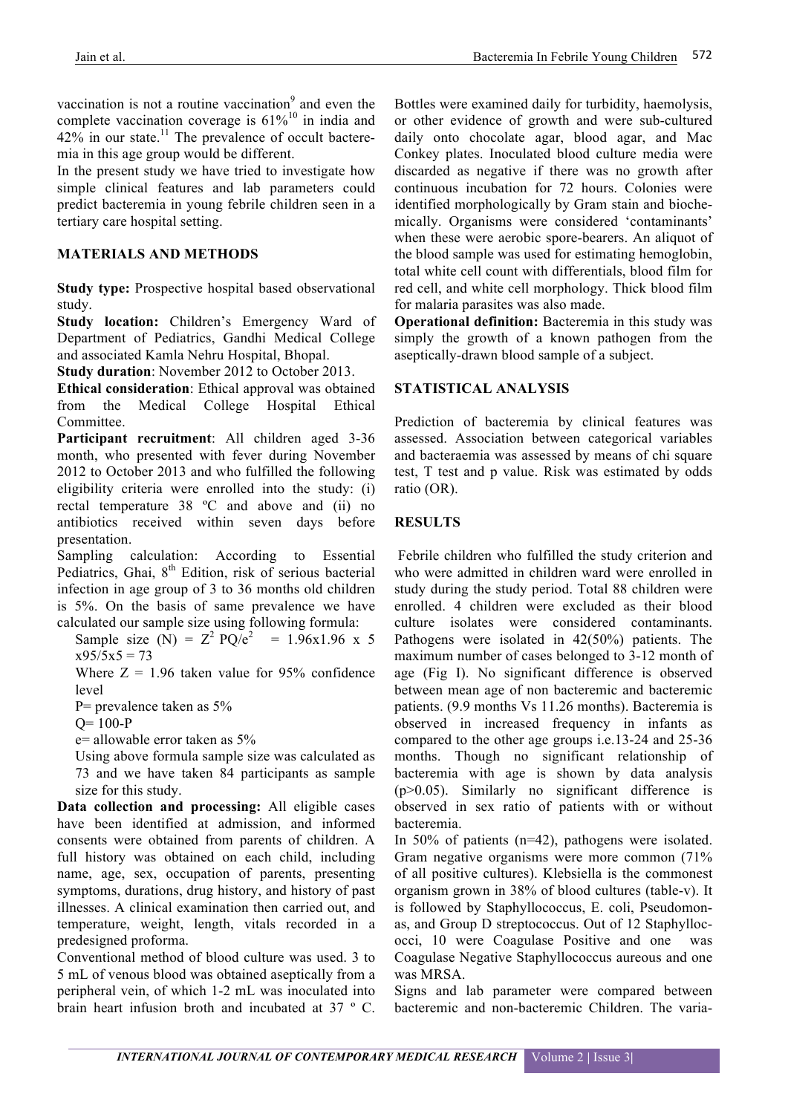vaccination is not a routine vaccination $9$  and even the complete vaccination coverage is  $61\%^{10}$  in india and  $42\%$  in our state.<sup>11</sup> The prevalence of occult bacteremia in this age group would be different.

In the present study we have tried to investigate how simple clinical features and lab parameters could predict bacteremia in young febrile children seen in a tertiary care hospital setting.

# **MATERIALS AND METHODS**

**Study type:** Prospective hospital based observational study.

**Study location:** Children's Emergency Ward of Department of Pediatrics, Gandhi Medical College and associated Kamla Nehru Hospital, Bhopal.

**Study duration**: November 2012 to October 2013.

**Ethical consideration**: Ethical approval was obtained from the Medical College Hospital Ethical Committee.

**Participant recruitment**: All children aged 3-36 month, who presented with fever during November 2012 to October 2013 and who fulfilled the following eligibility criteria were enrolled into the study: (i) rectal temperature 38 ºC and above and (ii) no antibiotics received within seven days before presentation.

Sampling calculation: According to Essential Pediatrics, Ghai, 8<sup>th</sup> Edition, risk of serious bacterial infection in age group of 3 to 36 months old children is 5%. On the basis of same prevalence we have calculated our sample size using following formula:

Sample size (N) =  $Z^2$  PQ/e<sup>2</sup> = 1.96x1.96 x 5  $x95/5x5 = 73$ 

Where  $Z = 1.96$  taken value for 95% confidence level

P= prevalence taken as 5%

 $Q= 100-P$ 

e= allowable error taken as 5%

Using above formula sample size was calculated as 73 and we have taken 84 participants as sample size for this study.

**Data collection and processing:** All eligible cases have been identified at admission, and informed consents were obtained from parents of children. A full history was obtained on each child, including name, age, sex, occupation of parents, presenting symptoms, durations, drug history, and history of past illnesses. A clinical examination then carried out, and temperature, weight, length, vitals recorded in a predesigned proforma.

Conventional method of blood culture was used. 3 to 5 mL of venous blood was obtained aseptically from a peripheral vein, of which 1-2 mL was inoculated into brain heart infusion broth and incubated at 37 º C.

Bottles were examined daily for turbidity, haemolysis, or other evidence of growth and were sub-cultured daily onto chocolate agar, blood agar, and Mac Conkey plates. Inoculated blood culture media were discarded as negative if there was no growth after continuous incubation for 72 hours. Colonies were identified morphologically by Gram stain and biochemically. Organisms were considered 'contaminants' when these were aerobic spore-bearers. An aliquot of the blood sample was used for estimating hemoglobin, total white cell count with differentials, blood film for red cell, and white cell morphology. Thick blood film for malaria parasites was also made.

**Operational definition:** Bacteremia in this study was simply the growth of a known pathogen from the aseptically-drawn blood sample of a subject.

## **STATISTICAL ANALYSIS**

Prediction of bacteremia by clinical features was assessed. Association between categorical variables and bacteraemia was assessed by means of chi square test, T test and p value. Risk was estimated by odds ratio (OR).

# **RESULTS**

Febrile children who fulfilled the study criterion and who were admitted in children ward were enrolled in study during the study period. Total 88 children were enrolled. 4 children were excluded as their blood culture isolates were considered contaminants. Pathogens were isolated in 42(50%) patients. The maximum number of cases belonged to 3-12 month of age (Fig I). No significant difference is observed between mean age of non bacteremic and bacteremic patients. (9.9 months Vs 11.26 months). Bacteremia is observed in increased frequency in infants as compared to the other age groups i.e.13-24 and 25-36 months. Though no significant relationship of bacteremia with age is shown by data analysis (p>0.05). Similarly no significant difference is observed in sex ratio of patients with or without bacteremia.

In 50% of patients (n=42), pathogens were isolated. Gram negative organisms were more common (71% of all positive cultures). Klebsiella is the commonest organism grown in 38% of blood cultures (table-v). It is followed by Staphyllococcus, E. coli, Pseudomonas, and Group D streptococcus. Out of 12 Staphyllococci, 10 were Coagulase Positive and one was Coagulase Negative Staphyllococcus aureous and one was MRSA.

Signs and lab parameter were compared between bacteremic and non-bacteremic Children. The varia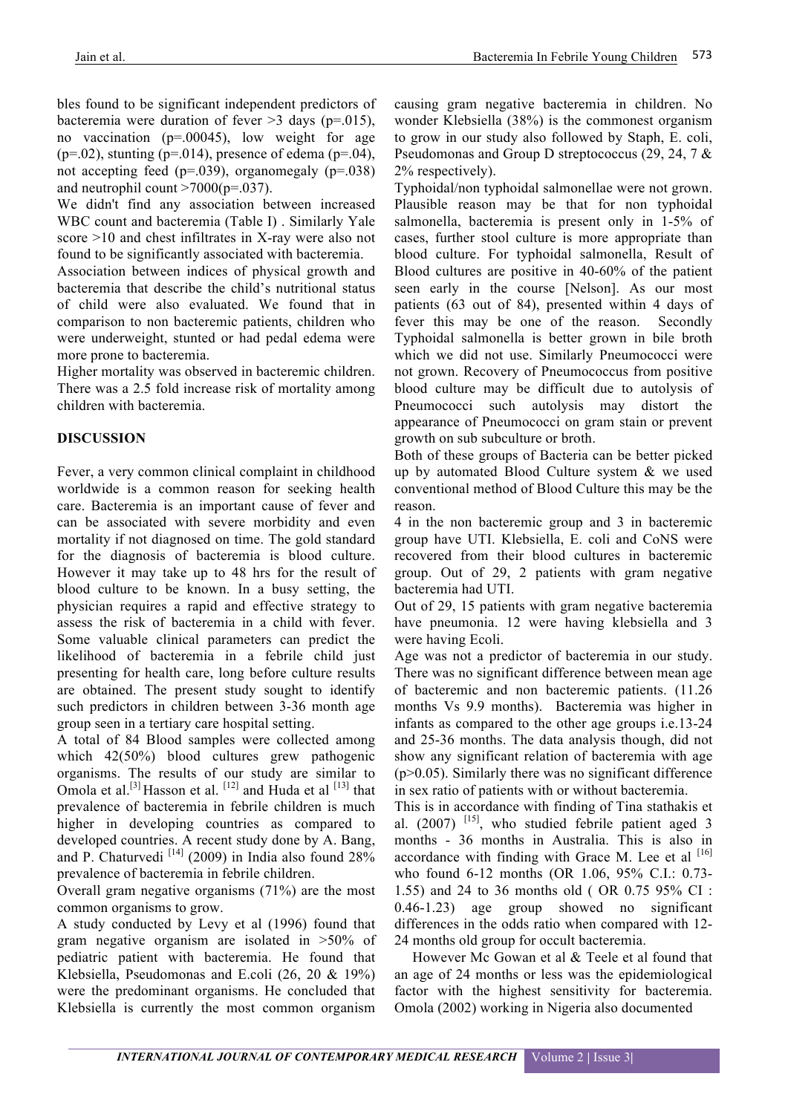bles found to be significant independent predictors of bacteremia were duration of fever  $>3$  days (p=.015), no vaccination (p=.00045), low weight for age ( $p=0.02$ ), stunting ( $p=0.014$ ), presence of edema ( $p=0.04$ ), not accepting feed (p=.039), organomegaly (p=.038) and neutrophil count  $>7000(p=.037)$ .

We didn't find any association between increased WBC count and bacteremia (Table I) . Similarly Yale score >10 and chest infiltrates in X-ray were also not found to be significantly associated with bacteremia.

Association between indices of physical growth and bacteremia that describe the child's nutritional status of child were also evaluated. We found that in comparison to non bacteremic patients, children who were underweight, stunted or had pedal edema were more prone to bacteremia.

Higher mortality was observed in bacteremic children. There was a 2.5 fold increase risk of mortality among children with bacteremia.

# **DISCUSSION**

Fever, a very common clinical complaint in childhood worldwide is a common reason for seeking health care. Bacteremia is an important cause of fever and can be associated with severe morbidity and even mortality if not diagnosed on time. The gold standard for the diagnosis of bacteremia is blood culture. However it may take up to 48 hrs for the result of blood culture to be known. In a busy setting, the physician requires a rapid and effective strategy to assess the risk of bacteremia in a child with fever. Some valuable clinical parameters can predict the likelihood of bacteremia in a febrile child just presenting for health care, long before culture results are obtained. The present study sought to identify such predictors in children between 3-36 month age group seen in a tertiary care hospital setting.

A total of 84 Blood samples were collected among which 42(50%) blood cultures grew pathogenic organisms. The results of our study are similar to Omola et al.<sup>[3]</sup> Hasson et al.<sup>[12]</sup> and Huda et al<sup>[13]</sup> that prevalence of bacteremia in febrile children is much higher in developing countries as compared to developed countries. A recent study done by A. Bang, and P. Chaturvedi<sup>[14]</sup> (2009) in India also found  $28\%$ prevalence of bacteremia in febrile children.

Overall gram negative organisms (71%) are the most common organisms to grow.

A study conducted by Levy et al (1996) found that gram negative organism are isolated in >50% of pediatric patient with bacteremia. He found that Klebsiella, Pseudomonas and E.coli (26, 20 & 19%) were the predominant organisms. He concluded that Klebsiella is currently the most common organism

causing gram negative bacteremia in children. No wonder Klebsiella (38%) is the commonest organism to grow in our study also followed by Staph, E. coli, Pseudomonas and Group D streptococcus (29, 24, 7 & 2% respectively).

Typhoidal/non typhoidal salmonellae were not grown. Plausible reason may be that for non typhoidal salmonella, bacteremia is present only in 1-5% of cases, further stool culture is more appropriate than blood culture. For typhoidal salmonella, Result of Blood cultures are positive in 40-60% of the patient seen early in the course [Nelson]. As our most patients (63 out of 84), presented within 4 days of fever this may be one of the reason. Secondly Typhoidal salmonella is better grown in bile broth which we did not use. Similarly Pneumococci were not grown. Recovery of Pneumococcus from positive blood culture may be difficult due to autolysis of Pneumococci such autolysis may distort the appearance of Pneumococci on gram stain or prevent growth on sub subculture or broth.

Both of these groups of Bacteria can be better picked up by automated Blood Culture system & we used conventional method of Blood Culture this may be the reason.

4 in the non bacteremic group and 3 in bacteremic group have UTI. Klebsiella, E. coli and CoNS were recovered from their blood cultures in bacteremic group. Out of 29, 2 patients with gram negative bacteremia had UTI.

Out of 29, 15 patients with gram negative bacteremia have pneumonia. 12 were having klebsiella and 3 were having Ecoli.

Age was not a predictor of bacteremia in our study. There was no significant difference between mean age of bacteremic and non bacteremic patients. (11.26 months Vs 9.9 months). Bacteremia was higher in infants as compared to the other age groups i.e.13-24 and 25-36 months. The data analysis though, did not show any significant relation of bacteremia with age  $(p>0.05)$ . Similarly there was no significant difference in sex ratio of patients with or without bacteremia.

This is in accordance with finding of Tina stathakis et al.  $(2007)$ <sup>[15]</sup>, who studied febrile patient aged 3 months - 36 months in Australia. This is also in accordance with finding with Grace M. Lee et al  $[16]$ who found 6-12 months (OR 1.06, 95% C.I.: 0.73- 1.55) and 24 to 36 months old ( OR 0.75 95% CI : 0.46-1.23) age group showed no significant differences in the odds ratio when compared with 12- 24 months old group for occult bacteremia.

However Mc Gowan et al & Teele et al found that an age of 24 months or less was the epidemiological factor with the highest sensitivity for bacteremia. Omola (2002) working in Nigeria also documented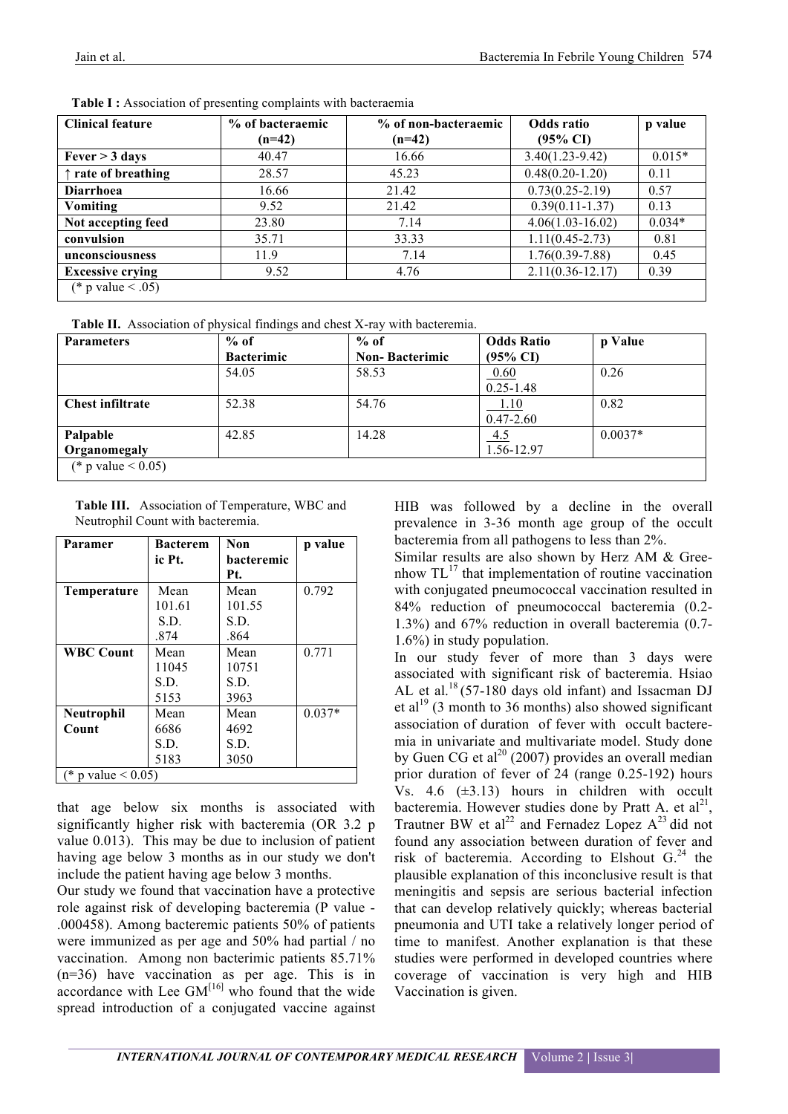| <b>Clinical feature</b>      | % of bacteraemic | % of non-bacteraemic | Odds ratio           | p value  |
|------------------------------|------------------|----------------------|----------------------|----------|
|                              | $(n=42)$         | $(n=42)$             | $(95\% \text{ CI})$  |          |
| Fever > 3 days               | 40.47            | 16.66                | $3.40(1.23-9.42)$    | $0.015*$ |
| $\uparrow$ rate of breathing | 28.57            | 45.23                | $0.48(0.20-1.20)$    | 0.11     |
| <b>Diarrhoea</b>             | 16.66            | 21.42                | $0.73(0.25-2.19)$    | 0.57     |
| Vomiting                     | 9.52             | 21.42                | $0.39(0.11 - 1.37)$  | 0.13     |
| Not accepting feed           | 23.80            | 7.14                 | $4.06(1.03 - 16.02)$ | $0.034*$ |
| convulsion                   | 35.71            | 33.33                | $1.11(0.45 - 2.73)$  | 0.81     |
| unconsciousness              | 11.9             | 7.14                 | $1.76(0.39 - 7.88)$  | 0.45     |
| <b>Excessive crying</b>      | 9.52             | 4.76                 | $2.11(0.36 - 12.17)$ | 0.39     |
| (* p value < .05)            |                  |                      |                      |          |

Table I: Association of presenting complaints with bacteraemia

|  |  | Table II. Association of physical findings and chest X-ray with bacteremia. |
|--|--|-----------------------------------------------------------------------------|
|  |  |                                                                             |

| <b>Parameters</b>       | $%$ of            | $%$ of                | <b>Odds Ratio</b>   | p Value   |
|-------------------------|-------------------|-----------------------|---------------------|-----------|
|                         | <b>Bacterimic</b> | <b>Non-Bacterimic</b> | $(95\% \text{ CI})$ |           |
|                         | 54.05             | 58.53                 | 0.60                | 0.26      |
|                         |                   |                       | $0.25 - 1.48$       |           |
| <b>Chest infiltrate</b> | 52.38             | 54.76                 | 1.10                | 0.82      |
|                         |                   |                       | $0.47 - 2.60$       |           |
| Palpable                | 42.85             | 14.28                 | 4.5                 | $0.0037*$ |
| Organomegaly            |                   |                       | 1.56-12.97          |           |
| (* p value $< 0.05$ )   |                   |                       |                     |           |

**Table III.** Association of Temperature, WBC and Neutrophil Count with bacteremia.

| Paramer                  | <b>Bacterem</b> | <b>Non</b> | p value  |  |
|--------------------------|-----------------|------------|----------|--|
|                          | ic Pt.          | bacteremic |          |  |
|                          |                 | Pt.        |          |  |
| <b>Temperature</b>       | Mean            | Mean       | 0.792    |  |
|                          | 101.61          | 101.55     |          |  |
|                          | S.D.            | S.D.       |          |  |
|                          | .874            | .864       |          |  |
| <b>WBC Count</b>         | Mean            | Mean       | 0.771    |  |
|                          | 11045           | 10751      |          |  |
|                          | S.D.            | S.D.       |          |  |
|                          | 5153            | 3963       |          |  |
| <b>Neutrophil</b>        | Mean            | Mean       | $0.037*$ |  |
| Count                    | 6686            | 4692       |          |  |
|                          | S.D.            | S.D.       |          |  |
|                          | 5183            | 3050       |          |  |
| (* p value $\leq 0.05$ ) |                 |            |          |  |

that age below six months is associated with significantly higher risk with bacteremia (OR 3.2 p value 0.013). This may be due to inclusion of patient having age below 3 months as in our study we don't include the patient having age below 3 months.

Our study we found that vaccination have a protective role against risk of developing bacteremia (P value - .000458). Among bacteremic patients 50% of patients were immunized as per age and 50% had partial / no vaccination. Among non bacterimic patients 85.71% (n=36) have vaccination as per age. This is in accordance with Lee  $GM<sup>[16]</sup>$  who found that the wide spread introduction of a conjugated vaccine against HIB was followed by a decline in the overall prevalence in 3-36 month age group of the occult bacteremia from all pathogens to less than 2%.

Similar results are also shown by Herz AM & Greenhow  $TL^{17}$  that implementation of routine vaccination with conjugated pneumococcal vaccination resulted in 84% reduction of pneumococcal bacteremia (0.2- 1.3%) and 67% reduction in overall bacteremia (0.7- 1.6%) in study population.

In our study fever of more than 3 days were associated with significant risk of bacteremia. Hsiao AL et al.<sup>18</sup> (57-180 days old infant) and Issacman DJ et al<sup>19</sup> (3 month to 36 months) also showed significant association of duration of fever with occult bacteremia in univariate and multivariate model. Study done by Guen CG et al<sup>20</sup> (2007) provides an overall median prior duration of fever of 24 (range 0.25-192) hours Vs.  $4.6$  ( $\pm$ 3.13) hours in children with occult bacteremia. However studies done by Pratt A. et  $al^{21}$ , Trautner BW et al<sup>22</sup> and Fernadez Lopez  $A^{23}$  did not found any association between duration of fever and risk of bacteremia. According to Elshout  $G<sup>24</sup>$  the plausible explanation of this inconclusive result is that meningitis and sepsis are serious bacterial infection that can develop relatively quickly; whereas bacterial pneumonia and UTI take a relatively longer period of time to manifest. Another explanation is that these studies were performed in developed countries where coverage of vaccination is very high and HIB Vaccination is given.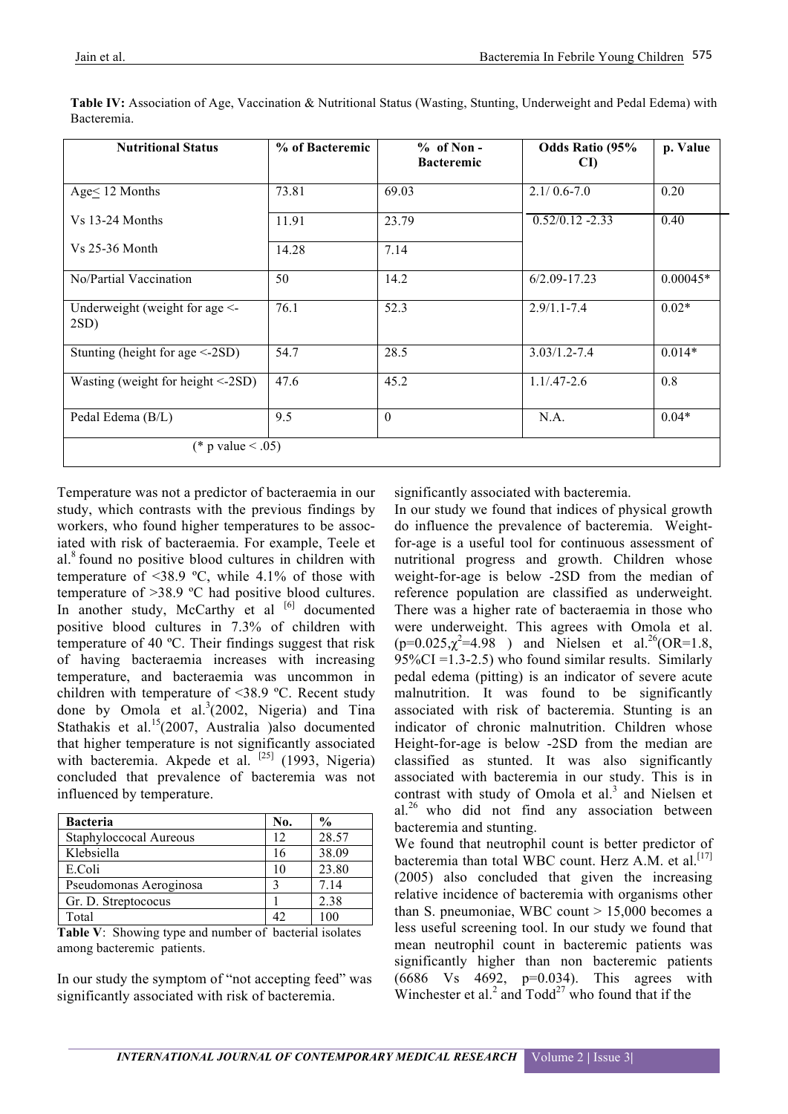| <b>Nutritional Status</b>                     | % of Bacteremic | $% of Non -$<br><b>Bacteremic</b> | <b>Odds Ratio (95%</b><br>CI) | p. Value   |
|-----------------------------------------------|-----------------|-----------------------------------|-------------------------------|------------|
| Age< 12 Months                                | 73.81           | 69.03                             | $2.1/0.6 - 7.0$               | 0.20       |
| $Vs$ 13-24 Months                             | 11.91           | 23.79                             | $0.52/0.12 - 2.33$            | 0.40       |
| $Vs 25-36 \; Month$                           | 14.28           | 7.14                              |                               |            |
| No/Partial Vaccination                        | 50              | 14.2                              | $6/2.09 - 17.23$              | $0.00045*$ |
| Underweight (weight for age $\leq$<br>$2SD$ ) | 76.1            | 52.3                              | $2.9/1.1 - 7.4$               | $0.02*$    |
| Stunting (height for age $\leq$ -2SD)         | 54.7            | 28.5                              | $3.03/1.2 - 7.4$              | $0.014*$   |
| Wasting (weight for height $\leq$ -2SD)       | 47.6            | 45.2                              | $1.1/0.47 - 2.6$              | 0.8        |
| Pedal Edema (B/L)                             | 9.5             | $\Omega$                          | N.A.                          | $0.04*$    |
| (* p value < .05)                             |                 |                                   |                               |            |

**Table IV:** Association of Age, Vaccination & Nutritional Status (Wasting, Stunting, Underweight and Pedal Edema) with Bacteremia.

Temperature was not a predictor of bacteraemia in our study, which contrasts with the previous findings by workers, who found higher temperatures to be associated with risk of bacteraemia. For example, Teele et al.8 found no positive blood cultures in children with temperature of  $\leq 38.9$  °C, while 4.1% of those with temperature of >38.9 ºC had positive blood cultures. In another study, McCarthy et al [6] documented positive blood cultures in 7.3% of children with temperature of 40 ºC. Their findings suggest that risk of having bacteraemia increases with increasing temperature, and bacteraemia was uncommon in children with temperature of <38.9 ºC. Recent study done by Omola et al.<sup>3</sup>(2002, Nigeria) and Tina Stathakis et al.<sup>15</sup>(2007, Australia )also documented that higher temperature is not significantly associated with bacteremia. Akpede et al. <sup>[25]</sup> (1993, Nigeria) concluded that prevalence of bacteremia was not influenced by temperature.

| <b>Bacteria</b>        | No. | $\frac{0}{0}$ |
|------------------------|-----|---------------|
| Staphyloccocal Aureous | 12  | 28.57         |
| Klebsiella             | 16  | 38.09         |
| E.Coli                 | 10  | 23.80         |
| Pseudomonas Aeroginosa |     | 7 14          |
| Gr. D. Streptococus    |     | 2.38          |
| Total                  |     | 100           |

**Table V**: Showing type and number of bacterial isolates among bacteremic patients.

In our study the symptom of "not accepting feed" was significantly associated with risk of bacteremia.

significantly associated with bacteremia.

In our study we found that indices of physical growth do influence the prevalence of bacteremia. Weightfor-age is a useful tool for continuous assessment of nutritional progress and growth. Children whose weight-for-age is below -2SD from the median of reference population are classified as underweight. There was a higher rate of bacteraemia in those who were underweight. This agrees with Omola et al.  $(p=0.025, \chi^2=4.98)$  and Nielsen et al.<sup>26</sup>(OR=1.8,  $95\%CI = 1.3-2.5$ ) who found similar results. Similarly pedal edema (pitting) is an indicator of severe acute malnutrition. It was found to be significantly associated with risk of bacteremia. Stunting is an indicator of chronic malnutrition. Children whose Height-for-age is below -2SD from the median are classified as stunted. It was also significantly associated with bacteremia in our study. This is in contrast with study of Omola et al. $3$  and Nielsen et al.26 who did not find any association between bacteremia and stunting.

We found that neutrophil count is better predictor of bacteremia than total WBC count. Herz A.M. et al.<sup>[17]</sup> (2005) also concluded that given the increasing relative incidence of bacteremia with organisms other than S. pneumoniae, WBC count  $> 15,000$  becomes a less useful screening tool. In our study we found that mean neutrophil count in bacteremic patients was significantly higher than non bacteremic patients (6686 Vs 4692, p=0.034). This agrees with Winchester et al.<sup>2</sup> and  $T$ odd<sup>27</sup> who found that if the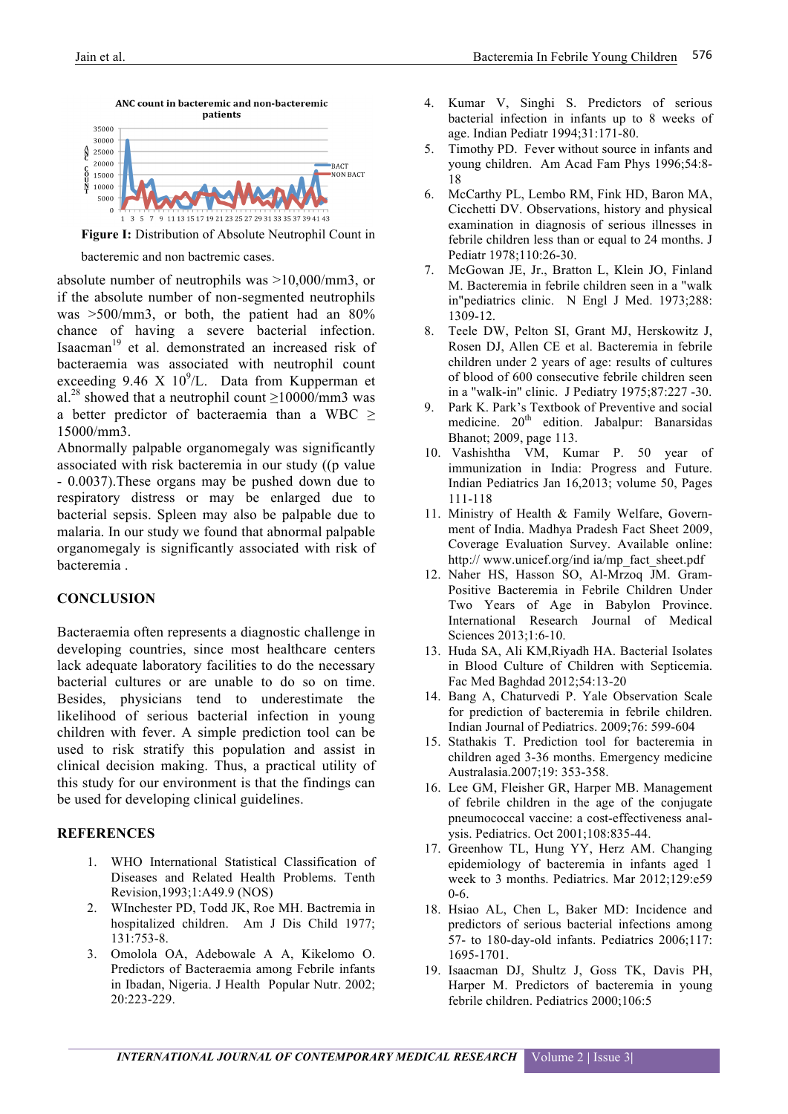

**Figure I:** Distribution of Absolute Neutrophil Count in

bacteremic and non bactremic cases.

absolute number of neutrophils was >10,000/mm3, or if the absolute number of non-segmented neutrophils was >500/mm3, or both, the patient had an 80% chance of having a severe bacterial infection. Isaacman<sup>19</sup> et al. demonstrated an increased risk of bacteraemia was associated with neutrophil count exceeding  $9.46 \times 10^9$ /L. Data from Kupperman et al.<sup>28</sup> showed that a neutrophil count  $\geq$ 10000/mm3 was a better predictor of bacteraemia than a WBC  $\geq$ 15000/mm3.

Abnormally palpable organomegaly was significantly associated with risk bacteremia in our study ((p value - 0.0037).These organs may be pushed down due to respiratory distress or may be enlarged due to bacterial sepsis. Spleen may also be palpable due to malaria. In our study we found that abnormal palpable organomegaly is significantly associated with risk of bacteremia .

#### **CONCLUSION**

Bacteraemia often represents a diagnostic challenge in developing countries, since most healthcare centers lack adequate laboratory facilities to do the necessary bacterial cultures or are unable to do so on time. Besides, physicians tend to underestimate the likelihood of serious bacterial infection in young children with fever. A simple prediction tool can be used to risk stratify this population and assist in clinical decision making. Thus, a practical utility of this study for our environment is that the findings can be used for developing clinical guidelines.

## **REFERENCES**

- 1. WHO International Statistical Classification of Diseases and Related Health Problems. Tenth Revision,1993;1:A49.9 (NOS)
- 2. WInchester PD, Todd JK, Roe MH. Bactremia in hospitalized children. Am J Dis Child 1977; 131:753-8.
- 3. Omolola OA, Adebowale A A, Kikelomo O. Predictors of Bacteraemia among Febrile infants in Ibadan, Nigeria. J Health Popular Nutr. 2002; 20:223-229.
- 4. Kumar V, Singhi S. Predictors of serious bacterial infection in infants up to 8 weeks of age. Indian Pediatr 1994;31:171-80.
- 5. Timothy PD. Fever without source in infants and young children. Am Acad Fam Phys 1996;54:8- 18
- 6. McCarthy PL, Lembo RM, Fink HD, Baron MA, Cicchetti DV. Observations, history and physical examination in diagnosis of serious illnesses in febrile children less than or equal to 24 months. J Pediatr 1978;110:26-30.
- 7. McGowan JE, Jr., Bratton L, Klein JO, Finland M. Bacteremia in febrile children seen in a "walk in"pediatrics clinic. N Engl J Med. 1973;288: 1309-12.
- 8. Teele DW, Pelton SI, Grant MJ, Herskowitz J, Rosen DJ, Allen CE et al. Bacteremia in febrile children under 2 years of age: results of cultures of blood of 600 consecutive febrile children seen in a "walk-in" clinic. J Pediatry 1975;87:227 -30.
- 9. Park K. Park's Textbook of Preventive and social medicine.  $20<sup>th</sup>$  edition. Jabalpur: Banarsidas Bhanot; 2009, page 113.
- 10. Vashishtha VM, Kumar P. 50 year of immunization in India: Progress and Future. Indian Pediatrics Jan 16,2013; volume 50, Pages 111-118
- 11. Ministry of Health & Family Welfare, Government of India. Madhya Pradesh Fact Sheet 2009, Coverage Evaluation Survey. Available online: http:// www.unicef.org/ind ia/mp\_fact\_sheet.pdf
- 12. Naher HS, Hasson SO, Al-Mrzoq JM. Gram-Positive Bacteremia in Febrile Children Under Two Years of Age in Babylon Province. International Research Journal of Medical Sciences 2013;1:6-10.
- 13. Huda SA, Ali KM,Riyadh HA. Bacterial Isolates in Blood Culture of Children with Septicemia. Fac Med Baghdad 2012;54:13-20
- 14. Bang A, Chaturvedi P. Yale Observation Scale for prediction of bacteremia in febrile children. Indian Journal of Pediatrics. 2009;76: 599-604
- 15. Stathakis T. Prediction tool for bacteremia in children aged 3-36 months. Emergency medicine Australasia.2007;19: 353-358.
- 16. Lee GM, Fleisher GR, Harper MB. Management of febrile children in the age of the conjugate pneumococcal vaccine: a cost-effectiveness analysis. Pediatrics. Oct 2001;108:835-44.
- 17. Greenhow TL, Hung YY, Herz AM. Changing epidemiology of bacteremia in infants aged 1 week to 3 months. Pediatrics. Mar 2012;129:e59 0-6.
- 18. Hsiao AL, Chen L, Baker MD: Incidence and predictors of serious bacterial infections among 57- to 180-day-old infants. Pediatrics 2006;117: 1695-1701.
- 19. Isaacman DJ, Shultz J, Goss TK, Davis PH, Harper M. Predictors of bacteremia in young febrile children. Pediatrics 2000;106:5